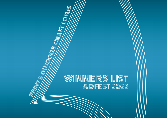# W/WINNERS LIST ADFEST 2022

**CRAIRT LOTTE** 

Q

Ć

O

C

**ROW** 

Q